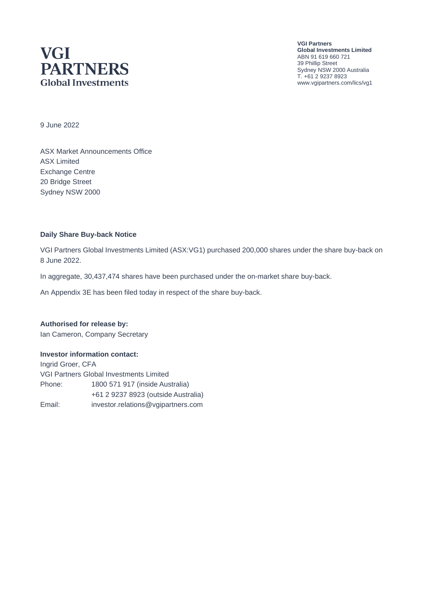# **VGI PARTNERS Global Investments**

**VGI Partners Global Investments Limited** ABN 91 619 660 721 39 Phillip Street Sydney NSW 2000 Australia T. +61 2 9237 8923 www.vgipartners.com/lics/vg1

9 June 2022

ASX Market Announcements Office ASX Limited Exchange Centre 20 Bridge Street Sydney NSW 2000

#### **Daily Share Buy-back Notice**

VGI Partners Global Investments Limited (ASX:VG1) purchased 200,000 shares under the share buy-back on 8 June 2022.

In aggregate, 30,437,474 shares have been purchased under the on-market share buy-back.

An Appendix 3E has been filed today in respect of the share buy-back.

**Authorised for release by:** Ian Cameron, Company Secretary

#### **Investor information contact:**

Ingrid Groer, CFA VGI Partners Global Investments Limited Phone: 1800 571 917 (inside Australia) +61 2 9237 8923 (outside Australia) Email: investor.relations@vgipartners.com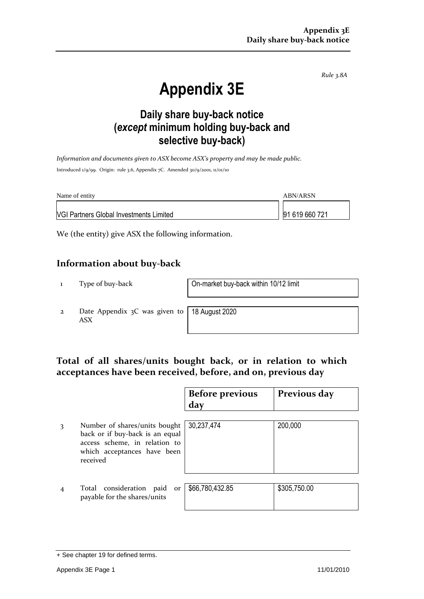*Rule 3.8A*

# **Appendix 3E**

## **Daily share buy-back notice (***except* **minimum holding buy-back and selective buy-back)**

*Information and documents given to ASX become ASX's property and may be made public.* Introduced 1/9/99. Origin: rule 3.6, Appendix 7C. Amended 30/9/2001, 11/01/10

| Name of entity                                 | ABN/ARSN       |
|------------------------------------------------|----------------|
| <b>VGI Partners Global Investments Limited</b> | 91 619 660 721 |

We (the entity) give ASX the following information.

#### **Information about buy-back**

1 Type of buy-back On-market buy-back within 10/12 limit

2 Date Appendix 3C was given to ASX

18 August 2020

#### **Total of all shares/units bought back, or in relation to which acceptances have been received, before, and on, previous day**

|   |                                                                                                                                              | <b>Before previous</b><br>day | Previous day |
|---|----------------------------------------------------------------------------------------------------------------------------------------------|-------------------------------|--------------|
| 3 | Number of shares/units bought<br>back or if buy-back is an equal<br>access scheme, in relation to<br>which acceptances have been<br>received | 30,237,474                    | 200,000      |
|   | Total consideration paid<br>or<br>payable for the shares/units                                                                               | \$66,780,432.85               | \$305,750.00 |

<sup>+</sup> See chapter 19 for defined terms.